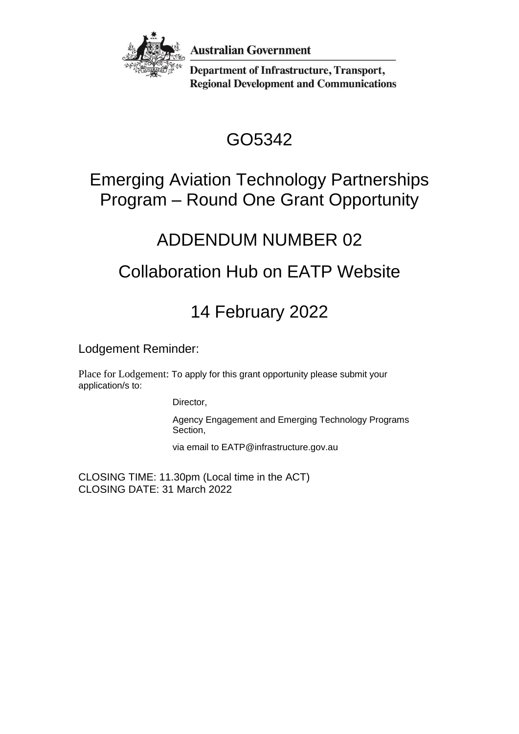

**Australian Government** 

**Department of Infrastructure, Transport, Regional Development and Communications** 

# GO5342

#### Emerging Aviation Technology Partnerships Program – Round One Grant Opportunity

## ADDENDUM NUMBER 02

## Collaboration Hub on EATP Website

## 14 February 2022

Lodgement Reminder:

Place for Lodgement: To apply for this grant opportunity please submit your application/s to:

Director,

Agency Engagement and Emerging Technology Programs Section,

via email to EATP@infrastructure.gov.au

CLOSING TIME: 11.30pm (Local time in the ACT) CLOSING DATE: 31 March 2022